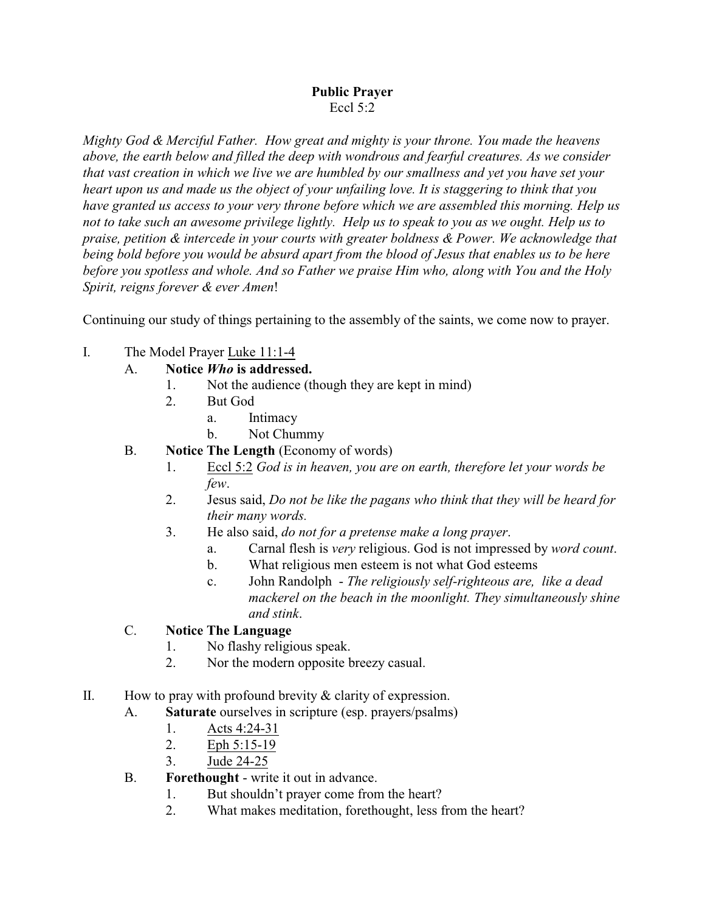## **Public Prayer** Eccl 5:2

*Mighty God & Merciful Father. How great and mighty is your throne. You made the heavens above, the earth below and filled the deep with wondrous and fearful creatures. As we consider that vast creation in which we live we are humbled by our smallness and yet you have set your heart upon us and made us the object of your unfailing love. It is staggering to think that you have granted us access to your very throne before which we are assembled this morning. Help us not to take such an awesome privilege lightly. Help us to speak to you as we ought. Help us to praise, petition & intercede in your courts with greater boldness & Power. We acknowledge that being bold before you would be absurd apart from the blood of Jesus that enables us to be here before you spotless and whole. And so Father we praise Him who, along with You and the Holy Spirit, reigns forever & ever Amen*!

Continuing our study of things pertaining to the assembly of the saints, we come now to prayer.

I. The Model Prayer Luke 11:1-4

## A. **Notice** *Who* **is addressed.**

- 1. Not the audience (though they are kept in mind)<br>2. But God
- 2. But God
	- a. Intimacy
	- b. Not Chummy
- B. **Notice The Length** (Economy of words)
	- 1. Eccl 5:2 *God is in heaven, you are on earth, therefore let your words be few*.
	- 2. Jesus said, *Do not be like the pagans who think that they will be heard for their many words.*
	- 3. He also said, *do not for a pretense make a long prayer*.
		- a. Carnal flesh is *very* religious. God is not impressed by *word count*.
		- b. What religious men esteem is not what God esteems
		- c. John Randolph *The religiously self-righteous are, like a dead mackerel on the beach in the moonlight. They simultaneously shine and stink*.

## C. **Notice The Language**

- 1. No flashy religious speak.
- 2. Nor the modern opposite breezy casual.
- II. How to pray with profound brevity  $&$  clarity of expression.
	- A. **Saturate** ourselves in scripture (esp. prayers/psalms)
		- 1. Acts 4:24-31
		- 2. Eph 5:15-19
		- 3. Jude 24-25
	- B. **Forethought** write it out in advance.
		- 1. But shouldn't prayer come from the heart?
		- 2. What makes meditation, forethought, less from the heart?